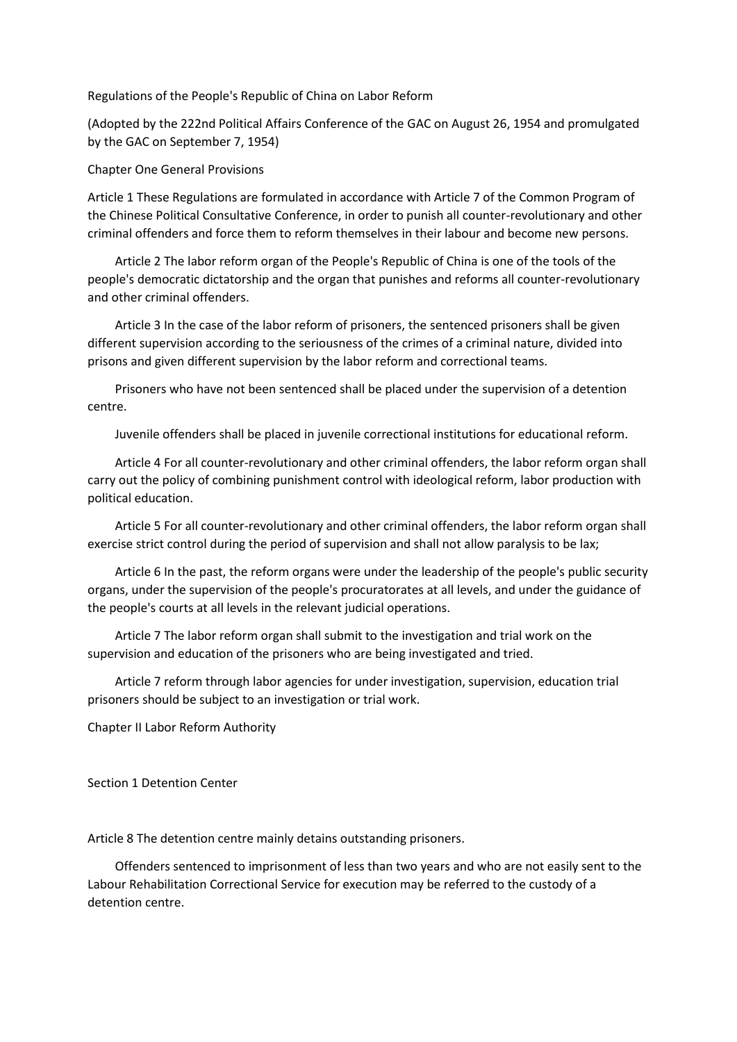Regulations of the People's Republic of China on Labor Reform

(Adopted by the 222nd Political Affairs Conference of the GAC on August 26, 1954 and promulgated by the GAC on September 7, 1954)

Chapter One General Provisions

Article 1 These Regulations are formulated in accordance with Article 7 of the Common Program of the Chinese Political Consultative Conference, in order to punish all counter-revolutionary and other criminal offenders and force them to reform themselves in their labour and become new persons.

 Article 2 The labor reform organ of the People's Republic of China is one of the tools of the people's democratic dictatorship and the organ that punishes and reforms all counter-revolutionary and other criminal offenders.

 Article 3 In the case of the labor reform of prisoners, the sentenced prisoners shall be given different supervision according to the seriousness of the crimes of a criminal nature, divided into prisons and given different supervision by the labor reform and correctional teams.

 Prisoners who have not been sentenced shall be placed under the supervision of a detention centre.

Juvenile offenders shall be placed in juvenile correctional institutions for educational reform.

 Article 4 For all counter-revolutionary and other criminal offenders, the labor reform organ shall carry out the policy of combining punishment control with ideological reform, labor production with political education.

 Article 5 For all counter-revolutionary and other criminal offenders, the labor reform organ shall exercise strict control during the period of supervision and shall not allow paralysis to be lax;

 Article 6 In the past, the reform organs were under the leadership of the people's public security organs, under the supervision of the people's procuratorates at all levels, and under the guidance of the people's courts at all levels in the relevant judicial operations.

 Article 7 The labor reform organ shall submit to the investigation and trial work on the supervision and education of the prisoners who are being investigated and tried.

 Article 7 reform through labor agencies for under investigation, supervision, education trial prisoners should be subject to an investigation or trial work.

Chapter II Labor Reform Authority

Section 1 Detention Center

Article 8 The detention centre mainly detains outstanding prisoners.

 Offenders sentenced to imprisonment of less than two years and who are not easily sent to the Labour Rehabilitation Correctional Service for execution may be referred to the custody of a detention centre.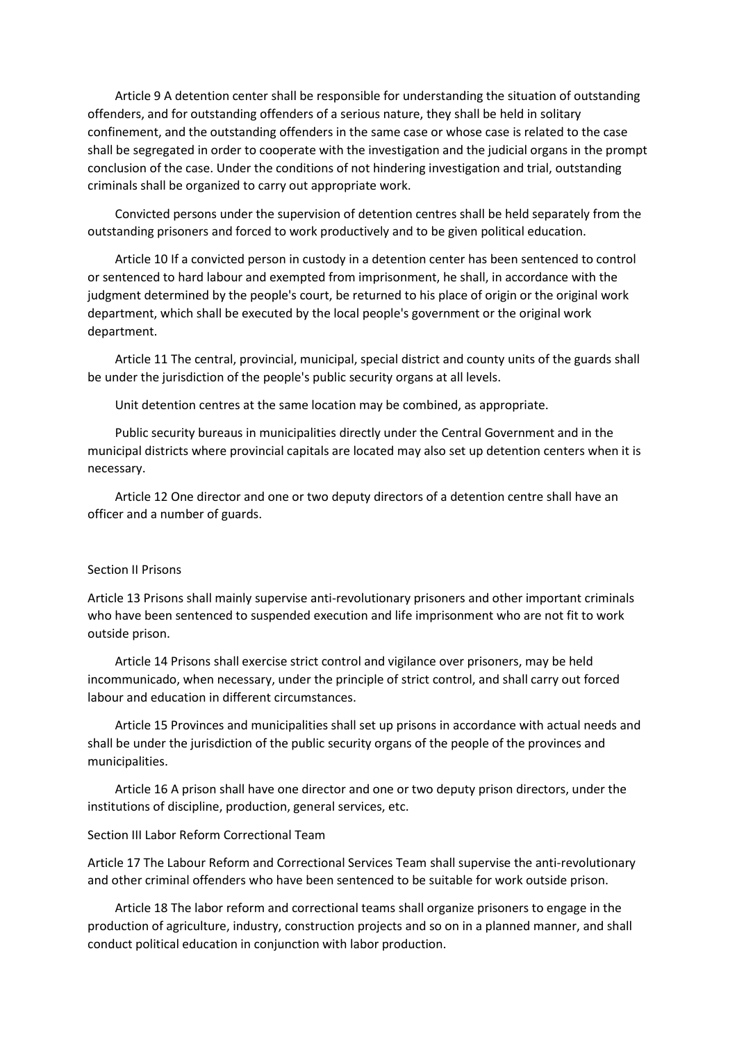Article 9 A detention center shall be responsible for understanding the situation of outstanding offenders, and for outstanding offenders of a serious nature, they shall be held in solitary confinement, and the outstanding offenders in the same case or whose case is related to the case shall be segregated in order to cooperate with the investigation and the judicial organs in the prompt conclusion of the case. Under the conditions of not hindering investigation and trial, outstanding criminals shall be organized to carry out appropriate work.

 Convicted persons under the supervision of detention centres shall be held separately from the outstanding prisoners and forced to work productively and to be given political education.

 Article 10 If a convicted person in custody in a detention center has been sentenced to control or sentenced to hard labour and exempted from imprisonment, he shall, in accordance with the judgment determined by the people's court, be returned to his place of origin or the original work department, which shall be executed by the local people's government or the original work department.

 Article 11 The central, provincial, municipal, special district and county units of the guards shall be under the jurisdiction of the people's public security organs at all levels.

Unit detention centres at the same location may be combined, as appropriate.

 Public security bureaus in municipalities directly under the Central Government and in the municipal districts where provincial capitals are located may also set up detention centers when it is necessary.

 Article 12 One director and one or two deputy directors of a detention centre shall have an officer and a number of guards.

#### Section II Prisons

Article 13 Prisons shall mainly supervise anti-revolutionary prisoners and other important criminals who have been sentenced to suspended execution and life imprisonment who are not fit to work outside prison.

 Article 14 Prisons shall exercise strict control and vigilance over prisoners, may be held incommunicado, when necessary, under the principle of strict control, and shall carry out forced labour and education in different circumstances.

 Article 15 Provinces and municipalities shall set up prisons in accordance with actual needs and shall be under the jurisdiction of the public security organs of the people of the provinces and municipalities.

 Article 16 A prison shall have one director and one or two deputy prison directors, under the institutions of discipline, production, general services, etc.

## Section III Labor Reform Correctional Team

Article 17 The Labour Reform and Correctional Services Team shall supervise the anti-revolutionary and other criminal offenders who have been sentenced to be suitable for work outside prison.

 Article 18 The labor reform and correctional teams shall organize prisoners to engage in the production of agriculture, industry, construction projects and so on in a planned manner, and shall conduct political education in conjunction with labor production.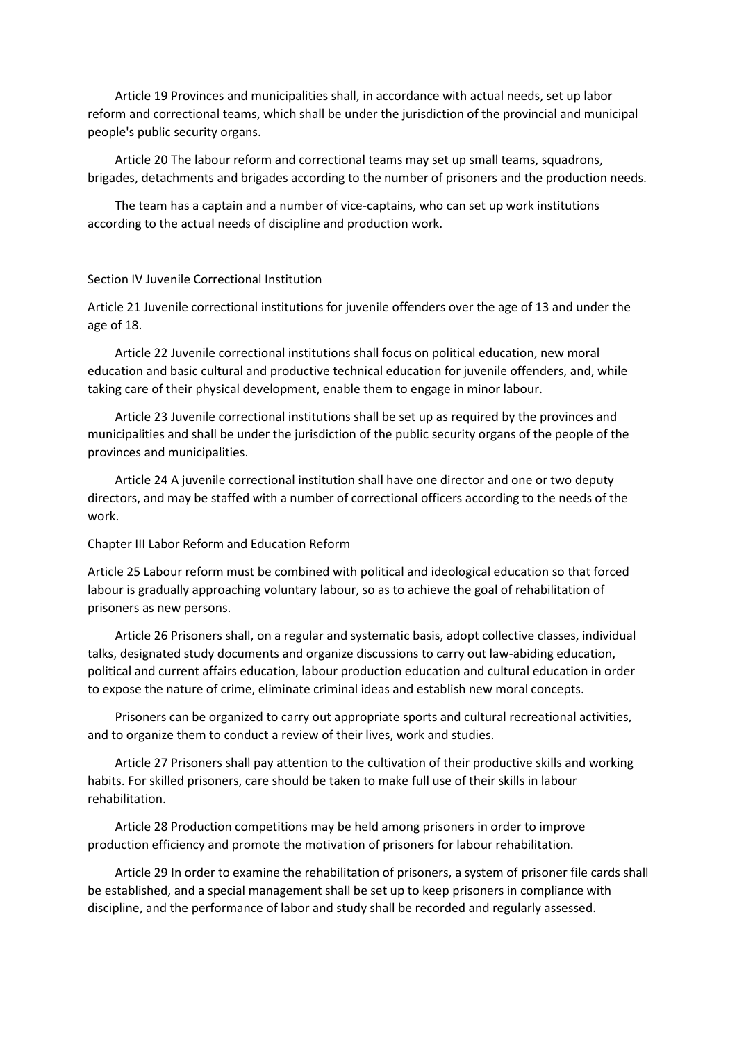Article 19 Provinces and municipalities shall, in accordance with actual needs, set up labor reform and correctional teams, which shall be under the jurisdiction of the provincial and municipal people's public security organs.

 Article 20 The labour reform and correctional teams may set up small teams, squadrons, brigades, detachments and brigades according to the number of prisoners and the production needs.

 The team has a captain and a number of vice-captains, who can set up work institutions according to the actual needs of discipline and production work.

### Section IV Juvenile Correctional Institution

Article 21 Juvenile correctional institutions for juvenile offenders over the age of 13 and under the age of 18.

 Article 22 Juvenile correctional institutions shall focus on political education, new moral education and basic cultural and productive technical education for juvenile offenders, and, while taking care of their physical development, enable them to engage in minor labour.

 Article 23 Juvenile correctional institutions shall be set up as required by the provinces and municipalities and shall be under the jurisdiction of the public security organs of the people of the provinces and municipalities.

 Article 24 A juvenile correctional institution shall have one director and one or two deputy directors, and may be staffed with a number of correctional officers according to the needs of the work.

### Chapter III Labor Reform and Education Reform

Article 25 Labour reform must be combined with political and ideological education so that forced labour is gradually approaching voluntary labour, so as to achieve the goal of rehabilitation of prisoners as new persons.

 Article 26 Prisoners shall, on a regular and systematic basis, adopt collective classes, individual talks, designated study documents and organize discussions to carry out law-abiding education, political and current affairs education, labour production education and cultural education in order to expose the nature of crime, eliminate criminal ideas and establish new moral concepts.

 Prisoners can be organized to carry out appropriate sports and cultural recreational activities, and to organize them to conduct a review of their lives, work and studies.

 Article 27 Prisoners shall pay attention to the cultivation of their productive skills and working habits. For skilled prisoners, care should be taken to make full use of their skills in labour rehabilitation.

 Article 28 Production competitions may be held among prisoners in order to improve production efficiency and promote the motivation of prisoners for labour rehabilitation.

 Article 29 In order to examine the rehabilitation of prisoners, a system of prisoner file cards shall be established, and a special management shall be set up to keep prisoners in compliance with discipline, and the performance of labor and study shall be recorded and regularly assessed.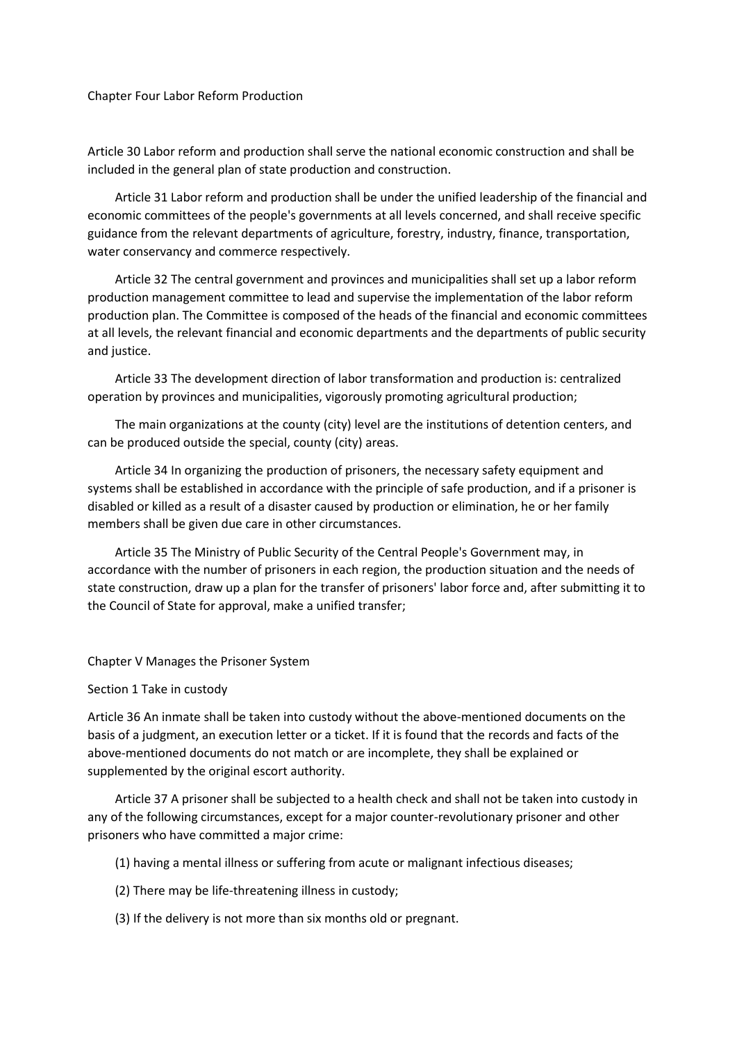# Chapter Four Labor Reform Production

Article 30 Labor reform and production shall serve the national economic construction and shall be included in the general plan of state production and construction.

 Article 31 Labor reform and production shall be under the unified leadership of the financial and economic committees of the people's governments at all levels concerned, and shall receive specific guidance from the relevant departments of agriculture, forestry, industry, finance, transportation, water conservancy and commerce respectively.

 Article 32 The central government and provinces and municipalities shall set up a labor reform production management committee to lead and supervise the implementation of the labor reform production plan. The Committee is composed of the heads of the financial and economic committees at all levels, the relevant financial and economic departments and the departments of public security and justice.

 Article 33 The development direction of labor transformation and production is: centralized operation by provinces and municipalities, vigorously promoting agricultural production;

 The main organizations at the county (city) level are the institutions of detention centers, and can be produced outside the special, county (city) areas.

 Article 34 In organizing the production of prisoners, the necessary safety equipment and systems shall be established in accordance with the principle of safe production, and if a prisoner is disabled or killed as a result of a disaster caused by production or elimination, he or her family members shall be given due care in other circumstances.

 Article 35 The Ministry of Public Security of the Central People's Government may, in accordance with the number of prisoners in each region, the production situation and the needs of state construction, draw up a plan for the transfer of prisoners' labor force and, after submitting it to the Council of State for approval, make a unified transfer;

### Chapter V Manages the Prisoner System

### Section 1 Take in custody

Article 36 An inmate shall be taken into custody without the above-mentioned documents on the basis of a judgment, an execution letter or a ticket. If it is found that the records and facts of the above-mentioned documents do not match or are incomplete, they shall be explained or supplemented by the original escort authority.

 Article 37 A prisoner shall be subjected to a health check and shall not be taken into custody in any of the following circumstances, except for a major counter-revolutionary prisoner and other prisoners who have committed a major crime:

- (1) having a mental illness or suffering from acute or malignant infectious diseases;
- (2) There may be life-threatening illness in custody;
- (3) If the delivery is not more than six months old or pregnant.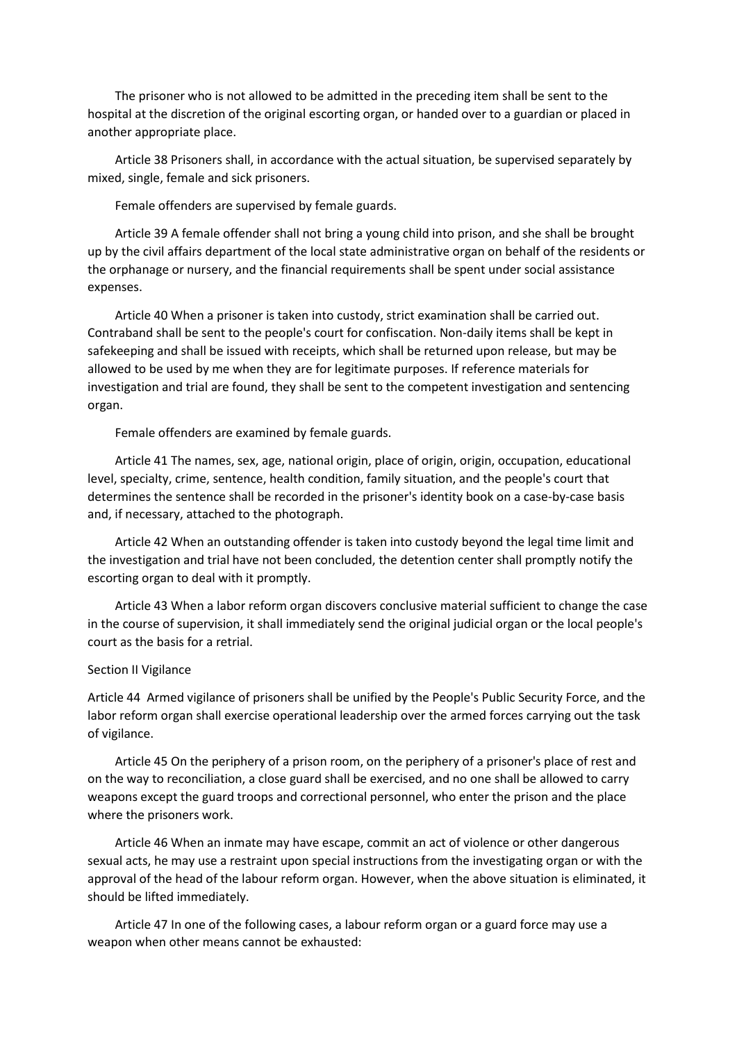The prisoner who is not allowed to be admitted in the preceding item shall be sent to the hospital at the discretion of the original escorting organ, or handed over to a guardian or placed in another appropriate place.

 Article 38 Prisoners shall, in accordance with the actual situation, be supervised separately by mixed, single, female and sick prisoners.

Female offenders are supervised by female guards.

 Article 39 A female offender shall not bring a young child into prison, and she shall be brought up by the civil affairs department of the local state administrative organ on behalf of the residents or the orphanage or nursery, and the financial requirements shall be spent under social assistance expenses.

 Article 40 When a prisoner is taken into custody, strict examination shall be carried out. Contraband shall be sent to the people's court for confiscation. Non-daily items shall be kept in safekeeping and shall be issued with receipts, which shall be returned upon release, but may be allowed to be used by me when they are for legitimate purposes. If reference materials for investigation and trial are found, they shall be sent to the competent investigation and sentencing organ.

Female offenders are examined by female guards.

 Article 41 The names, sex, age, national origin, place of origin, origin, occupation, educational level, specialty, crime, sentence, health condition, family situation, and the people's court that determines the sentence shall be recorded in the prisoner's identity book on a case-by-case basis and, if necessary, attached to the photograph.

 Article 42 When an outstanding offender is taken into custody beyond the legal time limit and the investigation and trial have not been concluded, the detention center shall promptly notify the escorting organ to deal with it promptly.

 Article 43 When a labor reform organ discovers conclusive material sufficient to change the case in the course of supervision, it shall immediately send the original judicial organ or the local people's court as the basis for a retrial.

# Section II Vigilance

Article 44 Armed vigilance of prisoners shall be unified by the People's Public Security Force, and the labor reform organ shall exercise operational leadership over the armed forces carrying out the task of vigilance.

 Article 45 On the periphery of a prison room, on the periphery of a prisoner's place of rest and on the way to reconciliation, a close guard shall be exercised, and no one shall be allowed to carry weapons except the guard troops and correctional personnel, who enter the prison and the place where the prisoners work.

 Article 46 When an inmate may have escape, commit an act of violence or other dangerous sexual acts, he may use a restraint upon special instructions from the investigating organ or with the approval of the head of the labour reform organ. However, when the above situation is eliminated, it should be lifted immediately.

 Article 47 In one of the following cases, a labour reform organ or a guard force may use a weapon when other means cannot be exhausted: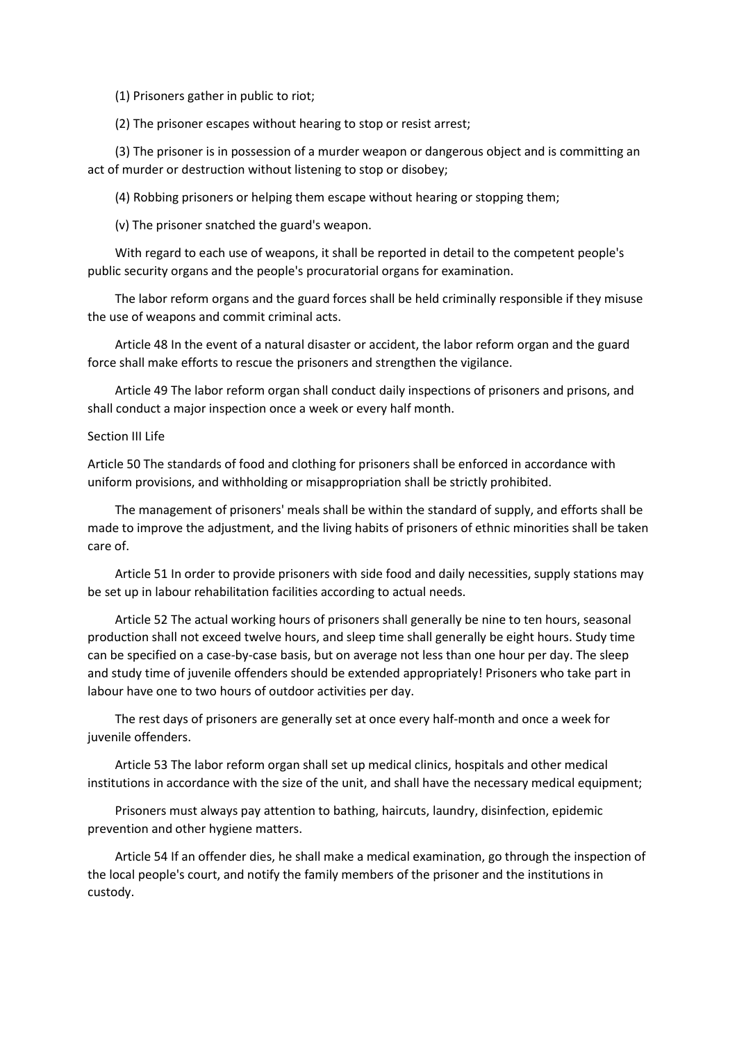(1) Prisoners gather in public to riot;

(2) The prisoner escapes without hearing to stop or resist arrest;

 (3) The prisoner is in possession of a murder weapon or dangerous object and is committing an act of murder or destruction without listening to stop or disobey;

(4) Robbing prisoners or helping them escape without hearing or stopping them;

(v) The prisoner snatched the guard's weapon.

 With regard to each use of weapons, it shall be reported in detail to the competent people's public security organs and the people's procuratorial organs for examination.

 The labor reform organs and the guard forces shall be held criminally responsible if they misuse the use of weapons and commit criminal acts.

 Article 48 In the event of a natural disaster or accident, the labor reform organ and the guard force shall make efforts to rescue the prisoners and strengthen the vigilance.

 Article 49 The labor reform organ shall conduct daily inspections of prisoners and prisons, and shall conduct a major inspection once a week or every half month.

### Section III Life

Article 50 The standards of food and clothing for prisoners shall be enforced in accordance with uniform provisions, and withholding or misappropriation shall be strictly prohibited.

 The management of prisoners' meals shall be within the standard of supply, and efforts shall be made to improve the adjustment, and the living habits of prisoners of ethnic minorities shall be taken care of.

 Article 51 In order to provide prisoners with side food and daily necessities, supply stations may be set up in labour rehabilitation facilities according to actual needs.

 Article 52 The actual working hours of prisoners shall generally be nine to ten hours, seasonal production shall not exceed twelve hours, and sleep time shall generally be eight hours. Study time can be specified on a case-by-case basis, but on average not less than one hour per day. The sleep and study time of juvenile offenders should be extended appropriately! Prisoners who take part in labour have one to two hours of outdoor activities per day.

 The rest days of prisoners are generally set at once every half-month and once a week for juvenile offenders.

 Article 53 The labor reform organ shall set up medical clinics, hospitals and other medical institutions in accordance with the size of the unit, and shall have the necessary medical equipment;

 Prisoners must always pay attention to bathing, haircuts, laundry, disinfection, epidemic prevention and other hygiene matters.

 Article 54 If an offender dies, he shall make a medical examination, go through the inspection of the local people's court, and notify the family members of the prisoner and the institutions in custody.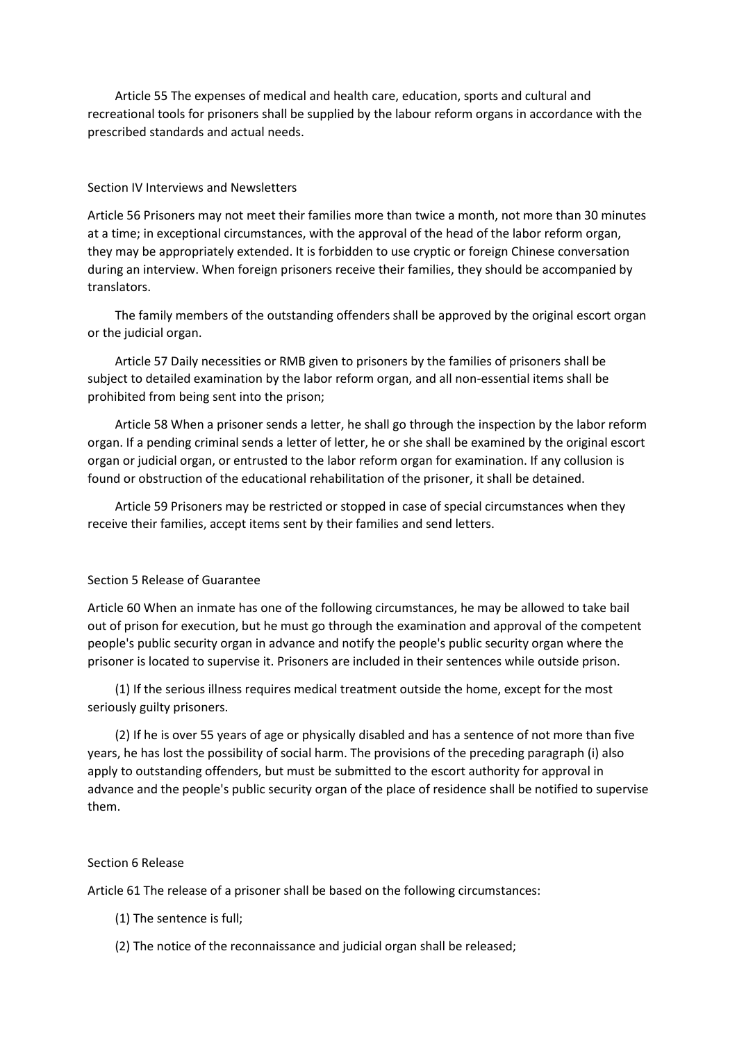Article 55 The expenses of medical and health care, education, sports and cultural and recreational tools for prisoners shall be supplied by the labour reform organs in accordance with the prescribed standards and actual needs.

# Section IV Interviews and Newsletters

Article 56 Prisoners may not meet their families more than twice a month, not more than 30 minutes at a time; in exceptional circumstances, with the approval of the head of the labor reform organ, they may be appropriately extended. It is forbidden to use cryptic or foreign Chinese conversation during an interview. When foreign prisoners receive their families, they should be accompanied by translators.

 The family members of the outstanding offenders shall be approved by the original escort organ or the judicial organ.

 Article 57 Daily necessities or RMB given to prisoners by the families of prisoners shall be subject to detailed examination by the labor reform organ, and all non-essential items shall be prohibited from being sent into the prison;

 Article 58 When a prisoner sends a letter, he shall go through the inspection by the labor reform organ. If a pending criminal sends a letter of letter, he or she shall be examined by the original escort organ or judicial organ, or entrusted to the labor reform organ for examination. If any collusion is found or obstruction of the educational rehabilitation of the prisoner, it shall be detained.

 Article 59 Prisoners may be restricted or stopped in case of special circumstances when they receive their families, accept items sent by their families and send letters.

### Section 5 Release of Guarantee

Article 60 When an inmate has one of the following circumstances, he may be allowed to take bail out of prison for execution, but he must go through the examination and approval of the competent people's public security organ in advance and notify the people's public security organ where the prisoner is located to supervise it. Prisoners are included in their sentences while outside prison.

 (1) If the serious illness requires medical treatment outside the home, except for the most seriously guilty prisoners.

 (2) If he is over 55 years of age or physically disabled and has a sentence of not more than five years, he has lost the possibility of social harm. The provisions of the preceding paragraph (i) also apply to outstanding offenders, but must be submitted to the escort authority for approval in advance and the people's public security organ of the place of residence shall be notified to supervise them.

### Section 6 Release

Article 61 The release of a prisoner shall be based on the following circumstances:

- (1) The sentence is full;
- (2) The notice of the reconnaissance and judicial organ shall be released;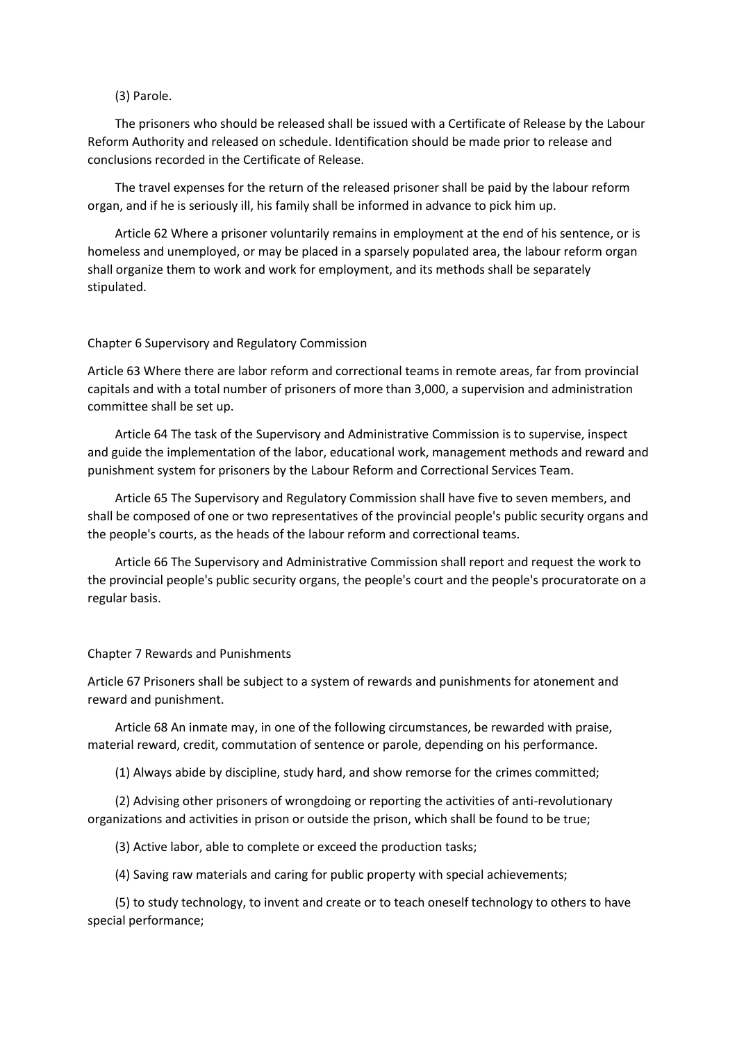# (3) Parole.

 The prisoners who should be released shall be issued with a Certificate of Release by the Labour Reform Authority and released on schedule. Identification should be made prior to release and conclusions recorded in the Certificate of Release.

 The travel expenses for the return of the released prisoner shall be paid by the labour reform organ, and if he is seriously ill, his family shall be informed in advance to pick him up.

 Article 62 Where a prisoner voluntarily remains in employment at the end of his sentence, or is homeless and unemployed, or may be placed in a sparsely populated area, the labour reform organ shall organize them to work and work for employment, and its methods shall be separately stipulated.

### Chapter 6 Supervisory and Regulatory Commission

Article 63 Where there are labor reform and correctional teams in remote areas, far from provincial capitals and with a total number of prisoners of more than 3,000, a supervision and administration committee shall be set up.

 Article 64 The task of the Supervisory and Administrative Commission is to supervise, inspect and guide the implementation of the labor, educational work, management methods and reward and punishment system for prisoners by the Labour Reform and Correctional Services Team.

 Article 65 The Supervisory and Regulatory Commission shall have five to seven members, and shall be composed of one or two representatives of the provincial people's public security organs and the people's courts, as the heads of the labour reform and correctional teams.

 Article 66 The Supervisory and Administrative Commission shall report and request the work to the provincial people's public security organs, the people's court and the people's procuratorate on a regular basis.

### Chapter 7 Rewards and Punishments

Article 67 Prisoners shall be subject to a system of rewards and punishments for atonement and reward and punishment.

 Article 68 An inmate may, in one of the following circumstances, be rewarded with praise, material reward, credit, commutation of sentence or parole, depending on his performance.

(1) Always abide by discipline, study hard, and show remorse for the crimes committed;

 (2) Advising other prisoners of wrongdoing or reporting the activities of anti-revolutionary organizations and activities in prison or outside the prison, which shall be found to be true;

(3) Active labor, able to complete or exceed the production tasks;

(4) Saving raw materials and caring for public property with special achievements;

 (5) to study technology, to invent and create or to teach oneself technology to others to have special performance;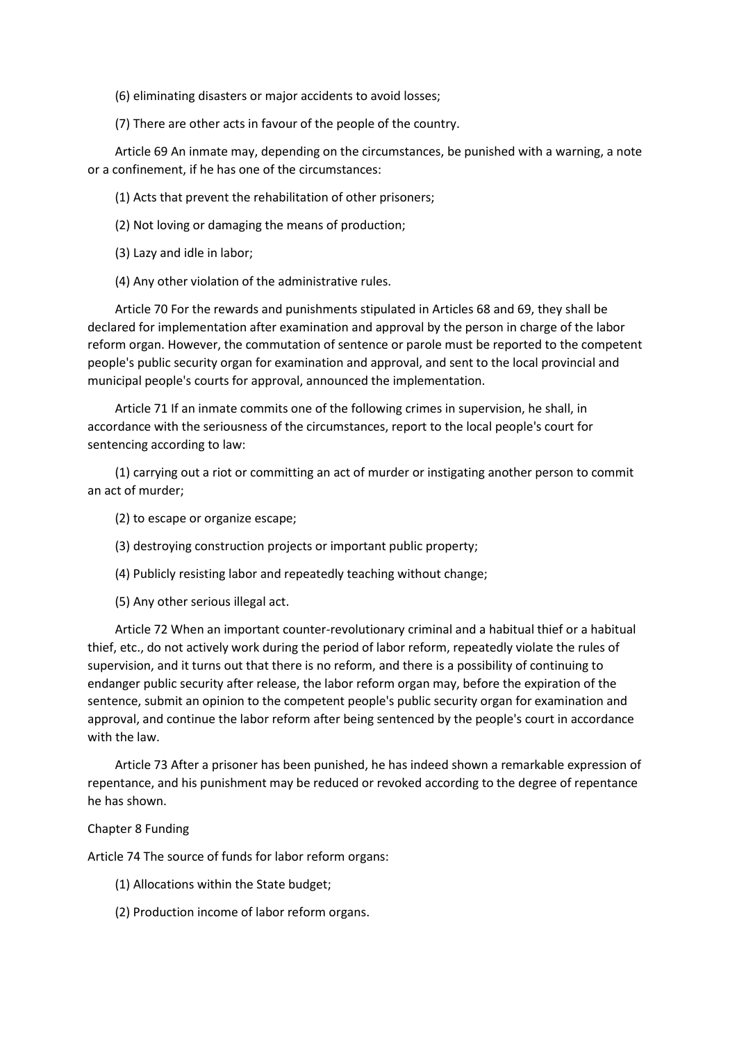(6) eliminating disasters or major accidents to avoid losses;

(7) There are other acts in favour of the people of the country.

 Article 69 An inmate may, depending on the circumstances, be punished with a warning, a note or a confinement, if he has one of the circumstances:

(1) Acts that prevent the rehabilitation of other prisoners;

(2) Not loving or damaging the means of production;

(3) Lazy and idle in labor;

(4) Any other violation of the administrative rules.

 Article 70 For the rewards and punishments stipulated in Articles 68 and 69, they shall be declared for implementation after examination and approval by the person in charge of the labor reform organ. However, the commutation of sentence or parole must be reported to the competent people's public security organ for examination and approval, and sent to the local provincial and municipal people's courts for approval, announced the implementation.

 Article 71 If an inmate commits one of the following crimes in supervision, he shall, in accordance with the seriousness of the circumstances, report to the local people's court for sentencing according to law:

 (1) carrying out a riot or committing an act of murder or instigating another person to commit an act of murder;

(2) to escape or organize escape;

(3) destroying construction projects or important public property;

(4) Publicly resisting labor and repeatedly teaching without change;

(5) Any other serious illegal act.

 Article 72 When an important counter-revolutionary criminal and a habitual thief or a habitual thief, etc., do not actively work during the period of labor reform, repeatedly violate the rules of supervision, and it turns out that there is no reform, and there is a possibility of continuing to endanger public security after release, the labor reform organ may, before the expiration of the sentence, submit an opinion to the competent people's public security organ for examination and approval, and continue the labor reform after being sentenced by the people's court in accordance with the law.

 Article 73 After a prisoner has been punished, he has indeed shown a remarkable expression of repentance, and his punishment may be reduced or revoked according to the degree of repentance he has shown.

### Chapter 8 Funding

Article 74 The source of funds for labor reform organs:

(1) Allocations within the State budget;

(2) Production income of labor reform organs.